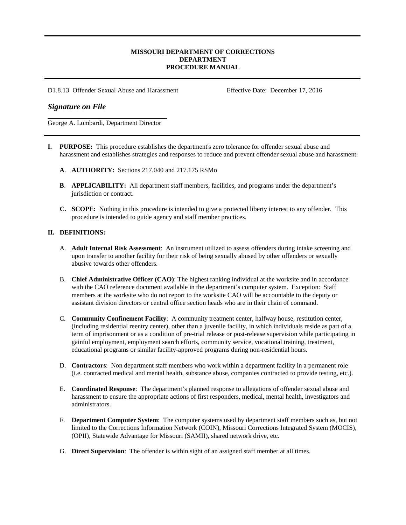# **MISSOURI DEPARTMENT OF CORRECTIONS DEPARTMENT PROCEDURE MANUAL**

D1.8.13 Offender Sexual Abuse and Harassment Effective Date: December 17, 2016

# *Signature on File*

George A. Lombardi, Department Director

- **I. PURPOSE:** This procedure establishes the department's zero tolerance for offender sexual abuse and harassment and establishes strategies and responses to reduce and prevent offender sexual abuse and harassment.
	- **A**. **AUTHORITY:** Sections 217.040 and 217.175 RSMo
	- **B**. **APPLICABILITY:** All department staff members, facilities, and programs under the department's jurisdiction or contract.
	- **C. SCOPE:** Nothing in this procedure is intended to give a protected liberty interest to any offender. This procedure is intended to guide agency and staff member practices.

# **II. DEFINITIONS:**

- A. **Adult Internal Risk Assessment**: An instrument utilized to assess offenders during intake screening and upon transfer to another facility for their risk of being sexually abused by other offenders or sexually abusive towards other offenders.
- B. **Chief Administrative Officer (CAO)**: The highest ranking individual at the worksite and in accordance with the CAO reference document available in the department's computer system. Exception: Staff members at the worksite who do not report to the worksite CAO will be accountable to the deputy or assistant division directors or central office section heads who are in their chain of command.
- C. **Community Confinement Facility**:A community treatment center, halfway house, restitution center, (including residential reentry center), other than a juvenile facility, in which individuals reside as part of a term of imprisonment or as a condition of pre-trial release or post-release supervision while participating in gainful employment, employment search efforts, community service, vocational training, treatment, educational programs or similar facility-approved programs during non-residential hours.
- D. **Contractors**:Non department staff members who work within a department facility in a permanent role (i.e. contracted medical and mental health, substance abuse, companies contracted to provide testing, etc.).
- E. **Coordinated Response**:The department's planned response to allegations of offender sexual abuse and harassment to ensure the appropriate actions of first responders, medical, mental health, investigators and administrators.
- F. **Department Computer System**: The computer systems used by department staff members such as, but not limited to the Corrections Information Network (COIN), Missouri Corrections Integrated System (MOCIS), (OPII), Statewide Advantage for Missouri (SAMII), shared network drive, etc.
- G. **Direct Supervision**:The offender is within sight of an assigned staff member at all times.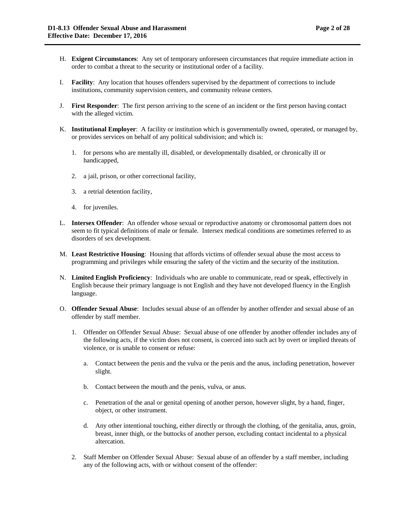- H. **Exigent Circumstances**:Any set of temporary unforeseen circumstances that require immediate action in order to combat a threat to the security or institutional order of a facility.
- I. **Facility**:Any location that houses offenders supervised by the department of corrections to include institutions, community supervision centers, and community release centers.
- J. **First Responder**:The first person arriving to the scene of an incident or the first person having contact with the alleged victim.
- K. **Institutional Employer**:A facility or institution which is governmentally owned, operated, or managed by, or provides services on behalf of any political subdivision; and which is:
	- 1. for persons who are mentally ill, disabled, or developmentally disabled, or chronically ill or handicapped,
	- 2. a jail, prison, or other correctional facility,
	- 3. a retrial detention facility,
	- 4. for juveniles.
- L. **Intersex Offender**: An offender whose sexual or reproductive anatomy or chromosomal pattern does not seem to fit typical definitions of male or female. Intersex medical conditions are sometimes referred to as disorders of sex development.
- M. **Least Restrictive Housing**:Housing that affords victims of offender sexual abuse the most access to programming and privileges while ensuring the safety of the victim and the security of the institution.
- N. **Limited English Proficiency**:Individuals who are unable to communicate, read or speak, effectively in English because their primary language is not English and they have not developed fluency in the English language.
- O. **Offender Sexual Abuse**: Includes sexual abuse of an offender by another offender and sexual abuse of an offender by staff member.
	- 1. Offender on Offender Sexual Abuse: Sexual abuse of one offender by another offender includes any of the following acts, if the victim does not consent, is coerced into such act by overt or implied threats of violence, or is unable to consent or refuse:
		- a. Contact between the penis and the vulva or the penis and the anus, including penetration, however slight.
		- b. Contact between the mouth and the penis, vulva, or anus.
		- c. Penetration of the anal or genital opening of another person, however slight, by a hand, finger, object, or other instrument.
		- d. Any other intentional touching, either directly or through the clothing, of the genitalia, anus, groin, breast, inner thigh, or the buttocks of another person, excluding contact incidental to a physical altercation.
	- 2. Staff Member on Offender Sexual Abuse: Sexual abuse of an offender by a staff member, including any of the following acts, with or without consent of the offender: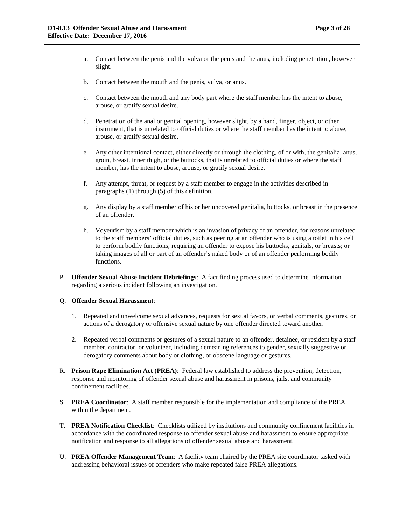- a. Contact between the penis and the vulva or the penis and the anus, including penetration, however slight.
- b. Contact between the mouth and the penis, vulva, or anus.
- c. Contact between the mouth and any body part where the staff member has the intent to abuse, arouse, or gratify sexual desire.
- d. Penetration of the anal or genital opening, however slight, by a hand, finger, object, or other instrument, that is unrelated to official duties or where the staff member has the intent to abuse, arouse, or gratify sexual desire.
- e. Any other intentional contact, either directly or through the clothing, of or with, the genitalia, anus, groin, breast, inner thigh, or the buttocks, that is unrelated to official duties or where the staff member, has the intent to abuse, arouse, or gratify sexual desire.
- f. Any attempt, threat, or request by a staff member to engage in the activities described in paragraphs (1) through (5) of this definition.
- g. Any display by a staff member of his or her uncovered genitalia, buttocks, or breast in the presence of an offender.
- h. Voyeurism by a staff member which is an invasion of privacy of an offender, for reasons unrelated to the staff members' official duties, such as peering at an offender who is using a toilet in his cell to perform bodily functions; requiring an offender to expose his buttocks, genitals, or breasts; or taking images of all or part of an offender's naked body or of an offender performing bodily functions.
- P. **Offender Sexual Abuse Incident Debriefings**:A fact finding process used to determine information regarding a serious incident following an investigation.

#### Q. **Offender Sexual Harassment**:

- 1. Repeated and unwelcome sexual advances, requests for sexual favors, or verbal comments, gestures, or actions of a derogatory or offensive sexual nature by one offender directed toward another.
- 2. Repeated verbal comments or gestures of a sexual nature to an offender, detainee, or resident by a staff member, contractor, or volunteer, including demeaning references to gender, sexually suggestive or derogatory comments about body or clothing, or obscene language or gestures.
- R. **Prison Rape Elimination Act (PREA)**:Federal law established to address the prevention, detection, response and monitoring of offender sexual abuse and harassment in prisons, jails, and community confinement facilities.
- S. **PREA Coordinator**:A staff member responsible for the implementation and compliance of the PREA within the department.
- T. **PREA Notification Checklist**: Checklists utilized by institutions and community confinement facilities in accordance with the coordinated response to offender sexual abuse and harassment to ensure appropriate notification and response to all allegations of offender sexual abuse and harassment.
- U. **PREA Offender Management Team**:A facility team chaired by the PREA site coordinator tasked with addressing behavioral issues of offenders who make repeated false PREA allegations.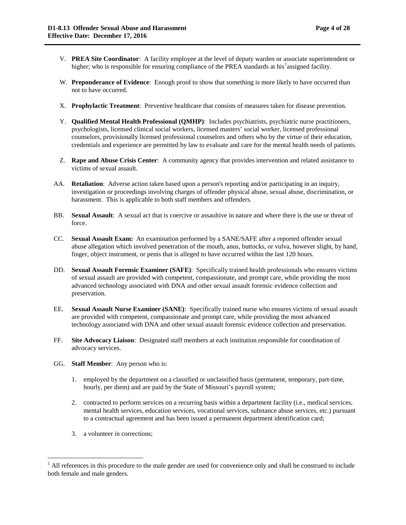- V. **PREA Site Coordinator**: A facility employee at the level of deputy warden or associate superintendent or higher; who is responsible for ensuring compliance of the PREA standards at his<sup>[1](#page-3-0)</sup>assigned facility.
- W. **Preponderance of Evidence**: Enough proof to show that something is more likely to have occurred than not to have occurred.
- X. **Prophylactic Treatment**: Preventive healthcare that consists of measures taken for disease prevention.
- Y. **Qualified Mental Health Professional (QMHP)**: Includes psychiatrists, psychiatric nurse practitioners, psychologists, licensed clinical social workers, licensed masters' social worker, licensed professional counselors, provisionally licensed professional counselors and others who by the virtue of their education, credentials and experience are permitted by law to evaluate and care for the mental health needs of patients.
- Z. **Rape and Abuse Crisis Center**: A community agency that provides intervention and related assistance to victims of sexual assault.
- AA. **Retaliation**: Adverse action taken based upon a person's reporting and/or participating in an inquiry, investigation or proceedings involving charges of offender physical abuse, sexual abuse, discrimination, or harassment. This is applicable to both staff members and offenders.
- BB. **Sexual Assault**: A sexual act that is coercive or assaultive in nature and where there is the use or threat of force.
- CC. **Sexual Assault Exam:** An examination performed by a SANE/SAFE after a reported offender sexual abuse allegation which involved penetration of the mouth, anus, buttocks, or vulva, however slight, by hand, finger, object instrument, or penis that is alleged to have occurred within the last 120 hours.
- DD. **Sexual Assault Forensic Examiner (SAFE)**: Specifically trained health professionals who ensures victims of sexual assault are provided with competent, compassionate, and prompt care, while providing the most advanced technology associated with DNA and other sexual assault forensic evidence collection and preservation.
- EE. **Sexual Assault Nurse Examiner (SANE)**:Specifically trained nurse who ensures victims of sexual assault are provided with competent, compassionate and prompt care, while providing the most advanced technology associated with DNA and other sexual assault forensic evidence collection and preservation.
- FF. **Site Advocacy Liaison**: Designated staff members at each institution responsible for coordination of advocacy services.
- GG. **Staff Member**: Any person who is:
	- 1. employed by the department on a classified or unclassified basis (permanent, temporary, part-time, hourly, per diem) and are paid by the State of Missouri's payroll system;
	- 2. contracted to perform services on a recurring basis within a department facility (i.e., medical services, mental health services, education services, vocational services, substance abuse services, etc.) pursuant to a contractual agreement and has been issued a permanent department identification card;
	- 3. a volunteer in corrections;

<span id="page-3-0"></span> $1$  All references in this procedure to the male gender are used for convenience only and shall be construed to include both female and male genders.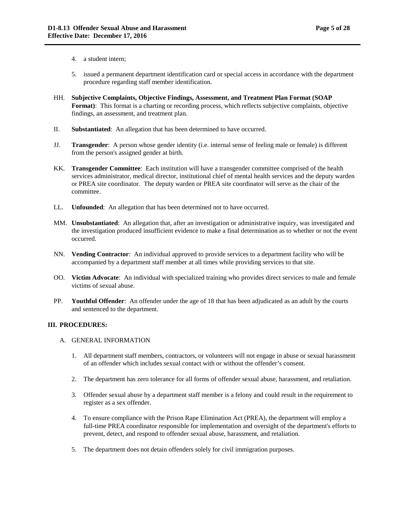- 4. a student intern;
- 5. issued a permanent department identification card or special access in accordance with the department procedure regarding staff member identification.
- HH. **Subjective Complaints, Objective Findings, Assessment, and Treatment Plan Format (SOAP Format)**: This format is a charting or recording process, which reflects subjective complaints, objective findings, an assessment, and treatment plan.
- II. **Substantiated**: An allegation that has been determined to have occurred.
- JJ. **Transgender**:A person whose gender identity (i.e. internal sense of feeling male or female) is different from the person's assigned gender at birth.
- KK. **Transgender Committee**:Each institution will have a transgender committee comprised of the health services administrator, medical director, institutional chief of mental health services and the deputy warden or PREA site coordinator. The deputy warden or PREA site coordinator will serve as the chair of the committee.
- LL. **Unfounded**:An allegation that has been determined not to have occurred.
- MM. **Unsubstantiated**: An allegation that, after an investigation or administrative inquiry, was investigated and the investigation produced insufficient evidence to make a final determination as to whether or not the event occurred.
- NN. **Vending Contractor**:An individual approved to provide services to a department facility who will be accompanied by a department staff member at all times while providing services to that site.
- OO. **Victim Advocate**: An individual with specialized training who provides direct services to male and female victims of sexual abuse.
- PP. **Youthful Offender**:An offender under the age of 18 that has been adjudicated as an adult by the courts and sentenced to the department.

## **III. PROCEDURES:**

- A. GENERAL INFORMATION
	- 1. All department staff members, contractors, or volunteers will not engage in abuse or sexual harassment of an offender which includes sexual contact with or without the offender's consent.
	- 2. The department has zero tolerance for all forms of offender sexual abuse, harassment, and retaliation.
	- 3. Offender sexual abuse by a department staff member is a felony and could result in the requirement to register as a sex offender.
	- 4. To ensure compliance with the Prison Rape Elimination Act (PREA), the department will employ a full-time PREA coordinator responsible for implementation and oversight of the department's efforts to prevent, detect, and respond to offender sexual abuse, harassment, and retaliation.
	- 5. The department does not detain offenders solely for civil immigration purposes.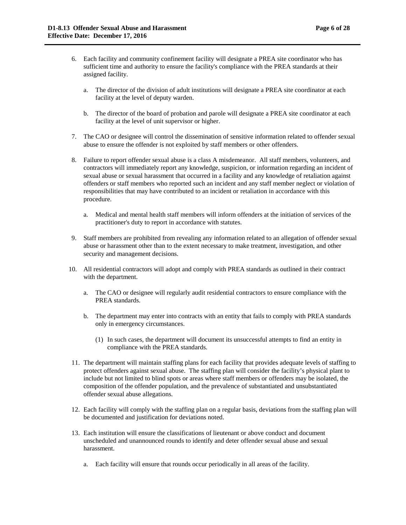- a. The director of the division of adult institutions will designate a PREA site coordinator at each facility at the level of deputy warden.
- b. The director of the board of probation and parole will designate a PREA site coordinator at each facility at the level of unit supervisor or higher.
- 7. The CAO or designee will control the dissemination of sensitive information related to offender sexual abuse to ensure the offender is not exploited by staff members or other offenders.
- 8. Failure to report offender sexual abuse is a class A misdemeanor. All staff members, volunteers, and contractors will immediately report any knowledge, suspicion, or information regarding an incident of sexual abuse or sexual harassment that occurred in a facility and any knowledge of retaliation against offenders or staff members who reported such an incident and any staff member neglect or violation of responsibilities that may have contributed to an incident or retaliation in accordance with this procedure.
	- a. Medical and mental health staff members will inform offenders at the initiation of services of the practitioner's duty to report in accordance with statutes.
- 9. Staff members are prohibited from revealing any information related to an allegation of offender sexual abuse or harassment other than to the extent necessary to make treatment, investigation, and other security and management decisions.
- 10. All residential contractors will adopt and comply with PREA standards as outlined in their contract with the department.
	- a. The CAO or designee will regularly audit residential contractors to ensure compliance with the PREA standards.
	- b. The department may enter into contracts with an entity that fails to comply with PREA standards only in emergency circumstances.
		- (1) In such cases, the department will document its unsuccessful attempts to find an entity in compliance with the PREA standards.
- 11. The department will maintain staffing plans for each facility that provides adequate levels of staffing to protect offenders against sexual abuse. The staffing plan will consider the facility's physical plant to include but not limited to blind spots or areas where staff members or offenders may be isolated, the composition of the offender population, and the prevalence of substantiated and unsubstantiated offender sexual abuse allegations.
- 12. Each facility will comply with the staffing plan on a regular basis, deviations from the staffing plan will be documented and justification for deviations noted.
- 13. Each institution will ensure the classifications of lieutenant or above conduct and document unscheduled and unannounced rounds to identify and deter offender sexual abuse and sexual harassment.
	- a. Each facility will ensure that rounds occur periodically in all areas of the facility.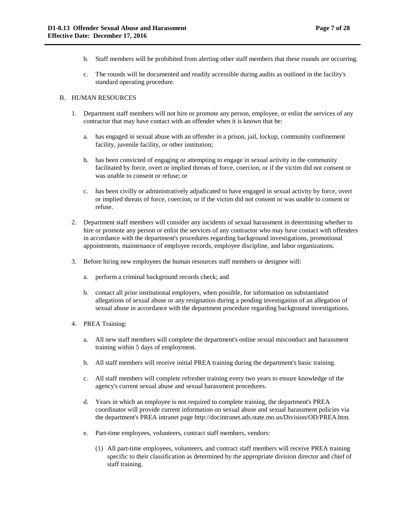- b. Staff members will be prohibited from alerting other staff members that these rounds are occurring.
- c. The rounds will be documented and readily accessible during audits as outlined in the facility's standard operating procedure.

## B. HUMAN RESOURCES

- 1. Department staff members will not hire or promote any person, employee, or enlist the services of any contractor that may have contact with an offender when it is known that he:
	- a. has engaged in sexual abuse with an offender in a prison, jail, lockup, community confinement facility, juvenile facility, or other institution;
	- b. has been convicted of engaging or attempting to engage in sexual activity in the community facilitated by force, overt or implied threats of force, coercion, or if the victim did not consent or was unable to consent or refuse; or
	- c. has been civilly or administratively adjudicated to have engaged in sexual activity by force, overt or implied threats of force, coercion, or if the victim did not consent or was unable to consent or refuse.
- 2. Department staff members will consider any incidents of sexual harassment in determining whether to hire or promote any person or enlist the services of any contractor who may have contact with offenders in accordance with the department's procedures regarding background investigations, promotional appointments, maintenance of employee records, employee discipline, and labor organizations.
- 3. Before hiring new employees the human resources staff members or designee will:
	- a. perform a criminal background records check; and
	- b. contact all prior institutional employers, when possible, for information on substantiated allegations of sexual abuse or any resignation during a pending investigation of an allegation of sexual abuse in accordance with the department procedure regarding background investigations.
- 4. PREA Training:
	- a. All new staff members will complete the department's online sexual misconduct and harassment training within 5 days of employment.
	- b. All staff members will receive initial PREA training during the department's basic training.
	- c. All staff members will complete refresher training every two years to ensure knowledge of the agency's current sexual abuse and sexual harassment procedures.
	- d. Years in which an employee is not required to complete training, the department's PREA coordinator will provide current information on sexual abuse and sexual harassment policies via the department's PREA intranet page http://docintranet.ads.state.mo.us/Division/OD/PREA.htm.
	- e. Part-time employees, volunteers, contract staff members, vendors:
		- (1) All part-time employees, volunteers, and contract staff members will receive PREA training specific to their classification as determined by the appropriate division director and chief of staff training.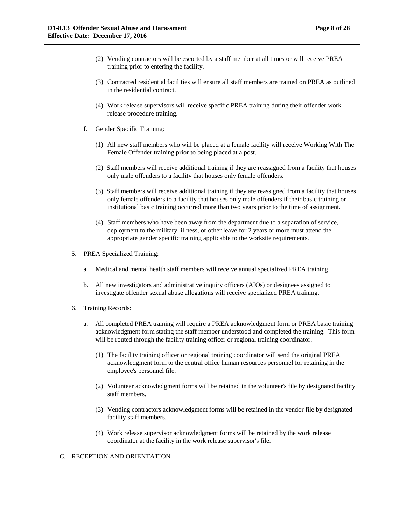- (2) Vending contractors will be escorted by a staff member at all times or will receive PREA training prior to entering the facility.
- (3) Contracted residential facilities will ensure all staff members are trained on PREA as outlined in the residential contract.
- (4) Work release supervisors will receive specific PREA training during their offender work release procedure training.
- f. Gender Specific Training:
	- (1) All new staff members who will be placed at a female facility will receive Working With The Female Offender training prior to being placed at a post.
	- (2) Staff members will receive additional training if they are reassigned from a facility that houses only male offenders to a facility that houses only female offenders.
	- (3) Staff members will receive additional training if they are reassigned from a facility that houses only female offenders to a facility that houses only male offenders if their basic training or institutional basic training occurred more than two years prior to the time of assignment.
	- (4) Staff members who have been away from the department due to a separation of service, deployment to the military, illness, or other leave for 2 years or more must attend the appropriate gender specific training applicable to the worksite requirements.
- 5. PREA Specialized Training:
	- a. Medical and mental health staff members will receive annual specialized PREA training.
	- b. All new investigators and administrative inquiry officers (AIOs) or designees assigned to investigate offender sexual abuse allegations will receive specialized PREA training.
- 6. Training Records:
	- a. All completed PREA training will require a PREA acknowledgment form or PREA basic training acknowledgment form stating the staff member understood and completed the training. This form will be routed through the facility training officer or regional training coordinator.
		- (1) The facility training officer or regional training coordinator will send the original PREA acknowledgment form to the central office human resources personnel for retaining in the employee's personnel file.
		- (2) Volunteer acknowledgment forms will be retained in the volunteer's file by designated facility staff members.
		- (3) Vending contractors acknowledgment forms will be retained in the vendor file by designated facility staff members.
		- (4) Work release supervisor acknowledgment forms will be retained by the work release coordinator at the facility in the work release supervisor's file.

## C. RECEPTION AND ORIENTATION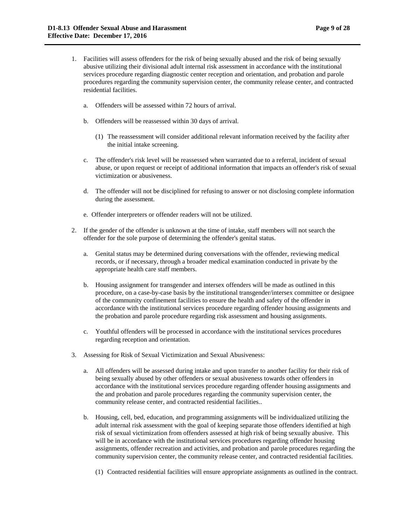- 1. Facilities will assess offenders for the risk of being sexually abused and the risk of being sexually abusive utilizing their divisional adult internal risk assessment in accordance with the institutional services procedure regarding diagnostic center reception and orientation, and probation and parole procedures regarding the community supervision center, the community release center, and contracted residential facilities.
	- a. Offenders will be assessed within 72 hours of arrival.
	- b. Offenders will be reassessed within 30 days of arrival.
		- (1) The reassessment will consider additional relevant information received by the facility after the initial intake screening.
	- c. The offender's risk level will be reassessed when warranted due to a referral, incident of sexual abuse, or upon request or receipt of additional information that impacts an offender's risk of sexual victimization or abusiveness.
	- d. The offender will not be disciplined for refusing to answer or not disclosing complete information during the assessment.
	- e. Offender interpreters or offender readers will not be utilized.
- 2. If the gender of the offender is unknown at the time of intake, staff members will not search the offender for the sole purpose of determining the offender's genital status.
	- a. Genital status may be determined during conversations with the offender, reviewing medical records, or if necessary, through a broader medical examination conducted in private by the appropriate health care staff members.
	- b. Housing assignment for transgender and intersex offenders will be made as outlined in this procedure, on a case-by-case basis by the institutional transgender/intersex committee or designee of the community confinement facilities to ensure the health and safety of the offender in accordance with the institutional services procedure regarding offender housing assignments and the probation and parole procedure regarding risk assessment and housing assignments.
	- c. Youthful offenders will be processed in accordance with the institutional services procedures regarding reception and orientation.
- 3. Assessing for Risk of Sexual Victimization and Sexual Abusiveness:
	- a. All offenders will be assessed during intake and upon transfer to another facility for their risk of being sexually abused by other offenders or sexual abusiveness towards other offenders in accordance with the institutional services procedure regarding offender housing assignments and the and probation and parole procedures regarding the community supervision center, the community release center, and contracted residential facilities..
	- b. Housing, cell, bed, education, and programming assignments will be individualized utilizing the adult internal risk assessment with the goal of keeping separate those offenders identified at high risk of sexual victimization from offenders assessed at high risk of being sexually abusive. This will be in accordance with the institutional services procedures regarding offender housing assignments, offender recreation and activities, and probation and parole procedures regarding the community supervision center, the community release center, and contracted residential facilities.
		- (1) Contracted residential facilities will ensure appropriate assignments as outlined in the contract.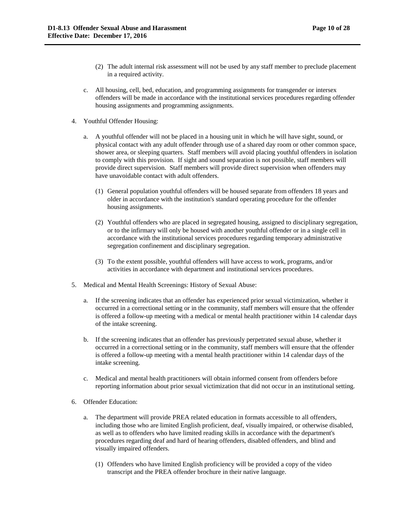- (2) The adult internal risk assessment will not be used by any staff member to preclude placement in a required activity.
- c. All housing, cell, bed, education, and programming assignments for transgender or intersex offenders will be made in accordance with the institutional services procedures regarding offender housing assignments and programming assignments.
- 4. Youthful Offender Housing:
	- a. A youthful offender will not be placed in a housing unit in which he will have sight, sound, or physical contact with any adult offender through use of a shared day room or other common space, shower area, or sleeping quarters. Staff members will avoid placing youthful offenders in isolation to comply with this provision. If sight and sound separation is not possible, staff members will provide direct supervision. Staff members will provide direct supervision when offenders may have unavoidable contact with adult offenders.
		- (1) General population youthful offenders will be housed separate from offenders 18 years and older in accordance with the institution's standard operating procedure for the offender housing assignments.
		- (2) Youthful offenders who are placed in segregated housing, assigned to disciplinary segregation, or to the infirmary will only be housed with another youthful offender or in a single cell in accordance with the institutional services procedures regarding temporary administrative segregation confinement and disciplinary segregation.
		- (3) To the extent possible, youthful offenders will have access to work, programs, and/or activities in accordance with department and institutional services procedures.
- 5. Medical and Mental Health Screenings: History of Sexual Abuse:
	- a. If the screening indicates that an offender has experienced prior sexual victimization, whether it occurred in a correctional setting or in the community, staff members will ensure that the offender is offered a follow-up meeting with a medical or mental health practitioner within 14 calendar days of the intake screening.
	- b. If the screening indicates that an offender has previously perpetrated sexual abuse, whether it occurred in a correctional setting or in the community, staff members will ensure that the offender is offered a follow-up meeting with a mental health practitioner within 14 calendar days of the intake screening.
	- c. Medical and mental health practitioners will obtain informed consent from offenders before reporting information about prior sexual victimization that did not occur in an institutional setting.
- 6. Offender Education:
	- a. The department will provide PREA related education in formats accessible to all offenders, including those who are limited English proficient, deaf, visually impaired, or otherwise disabled, as well as to offenders who have limited reading skills in accordance with the department's procedures regarding deaf and hard of hearing offenders, disabled offenders, and blind and visually impaired offenders.
		- (1) Offenders who have limited English proficiency will be provided a copy of the video transcript and the PREA offender brochure in their native language.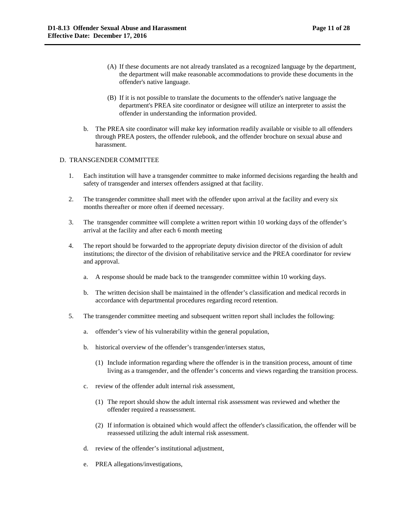- (A) If these documents are not already translated as a recognized language by the department, the department will make reasonable accommodations to provide these documents in the offender's native language.
- (B) If it is not possible to translate the documents to the offender's native language the department's PREA site coordinator or designee will utilize an interpreter to assist the offender in understanding the information provided.
- b. The PREA site coordinator will make key information readily available or visible to all offenders through PREA posters, the offender rulebook, and the offender brochure on sexual abuse and harassment.

### D. TRANSGENDER COMMITTEE

- 1. Each institution will have a transgender committee to make informed decisions regarding the health and safety of transgender and intersex offenders assigned at that facility.
- 2. The transgender committee shall meet with the offender upon arrival at the facility and every six months thereafter or more often if deemed necessary.
- 3. The transgender committee will complete a written report within 10 working days of the offender's arrival at the facility and after each 6 month meeting
- 4. The report should be forwarded to the appropriate deputy division director of the division of adult institutions; the director of the division of rehabilitative service and the PREA coordinator for review and approval.
	- a. A response should be made back to the transgender committee within 10 working days.
	- b. The written decision shall be maintained in the offender's classification and medical records in accordance with departmental procedures regarding record retention.
- 5. The transgender committee meeting and subsequent written report shall includes the following:
	- a. offender's view of his vulnerability within the general population,
	- b. historical overview of the offender's transgender/intersex status,
		- (1) Include information regarding where the offender is in the transition process, amount of time living as a transgender, and the offender's concerns and views regarding the transition process.
	- c. review of the offender adult internal risk assessment,
		- (1) The report should show the adult internal risk assessment was reviewed and whether the offender required a reassessment.
		- (2) If information is obtained which would affect the offender's classification, the offender will be reassessed utilizing the adult internal risk assessment.
	- d. review of the offender's institutional adjustment,
	- e. PREA allegations/investigations,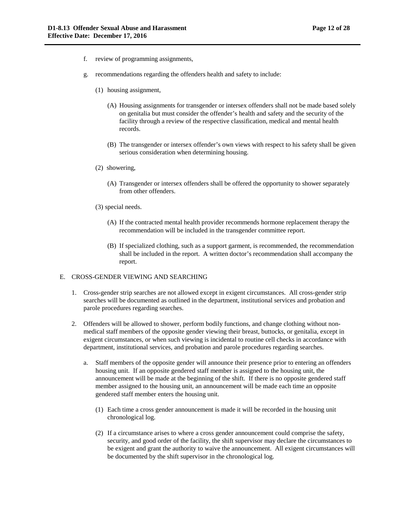- f. review of programming assignments,
- g. recommendations regarding the offenders health and safety to include:
	- (1) housing assignment,
		- (A) Housing assignments for transgender or intersex offenders shall not be made based solely on genitalia but must consider the offender's health and safety and the security of the facility through a review of the respective classification, medical and mental health records.
		- (B) The transgender or intersex offender's own views with respect to his safety shall be given serious consideration when determining housing.
	- (2) showering,
		- (A) Transgender or intersex offenders shall be offered the opportunity to shower separately from other offenders.
	- (3) special needs.
		- (A) If the contracted mental health provider recommends hormone replacement therapy the recommendation will be included in the transgender committee report.
		- (B) If specialized clothing, such as a support garment, is recommended, the recommendation shall be included in the report. A written doctor's recommendation shall accompany the report.

## E. CROSS-GENDER VIEWING AND SEARCHING

- 1. Cross-gender strip searches are not allowed except in exigent circumstances. All cross-gender strip searches will be documented as outlined in the department, institutional services and probation and parole procedures regarding searches.
- 2. Offenders will be allowed to shower, perform bodily functions, and change clothing without nonmedical staff members of the opposite gender viewing their breast, buttocks, or genitalia, except in exigent circumstances, or when such viewing is incidental to routine cell checks in accordance with department, institutional services, and probation and parole procedures regarding searches.
	- a. Staff members of the opposite gender will announce their presence prior to entering an offenders housing unit. If an opposite gendered staff member is assigned to the housing unit, the announcement will be made at the beginning of the shift. If there is no opposite gendered staff member assigned to the housing unit, an announcement will be made each time an opposite gendered staff member enters the housing unit.
		- (1) Each time a cross gender announcement is made it will be recorded in the housing unit chronological log.
		- (2) If a circumstance arises to where a cross gender announcement could comprise the safety, security, and good order of the facility, the shift supervisor may declare the circumstances to be exigent and grant the authority to waive the announcement. All exigent circumstances will be documented by the shift supervisor in the chronological log.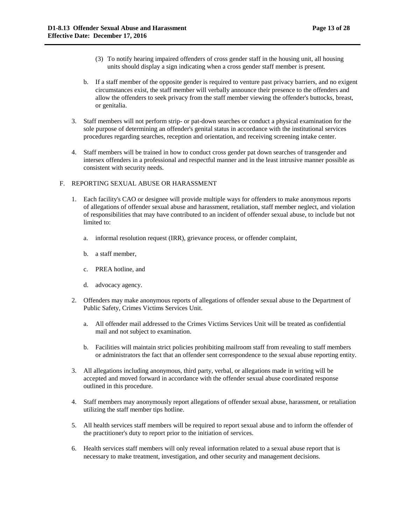- (3) To notify hearing impaired offenders of cross gender staff in the housing unit, all housing units should display a sign indicating when a cross gender staff member is present.
- b. If a staff member of the opposite gender is required to venture past privacy barriers, and no exigent circumstances exist, the staff member will verbally announce their presence to the offenders and allow the offenders to seek privacy from the staff member viewing the offender's buttocks, breast, or genitalia.
- 3. Staff members will not perform strip- or pat-down searches or conduct a physical examination for the sole purpose of determining an offender's genital status in accordance with the institutional services procedures regarding searches, reception and orientation, and receiving screening intake center.
- 4. Staff members will be trained in how to conduct cross gender pat down searches of transgender and intersex offenders in a professional and respectful manner and in the least intrusive manner possible as consistent with security needs.

## F. REPORTING SEXUAL ABUSE OR HARASSMENT

- 1. Each facility's CAO or designee will provide multiple ways for offenders to make anonymous reports of allegations of offender sexual abuse and harassment, retaliation, staff member neglect, and violation of responsibilities that may have contributed to an incident of offender sexual abuse, to include but not limited to:
	- a. informal resolution request (IRR), grievance process, or offender complaint,
	- b. a staff member,
	- c. PREA hotline, and
	- d. advocacy agency.
- 2. Offenders may make anonymous reports of allegations of offender sexual abuse to the Department of Public Safety, Crimes Victims Services Unit.
	- a. All offender mail addressed to the Crimes Victims Services Unit will be treated as confidential mail and not subject to examination.
	- b. Facilities will maintain strict policies prohibiting mailroom staff from revealing to staff members or administrators the fact that an offender sent correspondence to the sexual abuse reporting entity.
- 3. All allegations including anonymous, third party, verbal, or allegations made in writing will be accepted and moved forward in accordance with the offender sexual abuse coordinated response outlined in this procedure.
- 4. Staff members may anonymously report allegations of offender sexual abuse, harassment, or retaliation utilizing the staff member tips hotline.
- 5. All health services staff members will be required to report sexual abuse and to inform the offender of the practitioner's duty to report prior to the initiation of services.
- 6. Health services staff members will only reveal information related to a sexual abuse report that is necessary to make treatment, investigation, and other security and management decisions.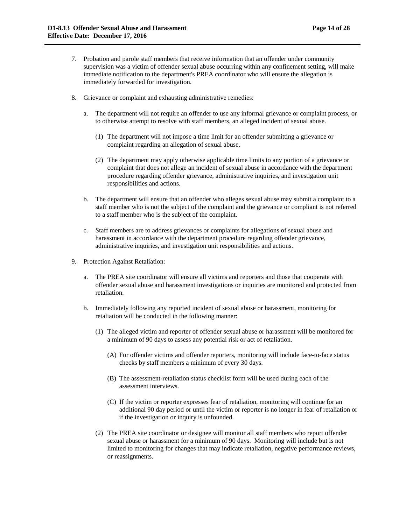- 7. Probation and parole staff members that receive information that an offender under community supervision was a victim of offender sexual abuse occurring within any confinement setting, will make immediate notification to the department's PREA coordinator who will ensure the allegation is immediately forwarded for investigation.
- 8. Grievance or complaint and exhausting administrative remedies:
	- a. The department will not require an offender to use any informal grievance or complaint process, or to otherwise attempt to resolve with staff members, an alleged incident of sexual abuse.
		- (1) The department will not impose a time limit for an offender submitting a grievance or complaint regarding an allegation of sexual abuse.
		- (2) The department may apply otherwise applicable time limits to any portion of a grievance or complaint that does not allege an incident of sexual abuse in accordance with the department procedure regarding offender grievance, administrative inquiries, and investigation unit responsibilities and actions.
	- b. The department will ensure that an offender who alleges sexual abuse may submit a complaint to a staff member who is not the subject of the complaint and the grievance or compliant is not referred to a staff member who is the subject of the complaint.
	- c. Staff members are to address grievances or complaints for allegations of sexual abuse and harassment in accordance with the department procedure regarding offender grievance, administrative inquiries, and investigation unit responsibilities and actions.
- 9. Protection Against Retaliation:
	- a. The PREA site coordinator will ensure all victims and reporters and those that cooperate with offender sexual abuse and harassment investigations or inquiries are monitored and protected from retaliation.
	- b. Immediately following any reported incident of sexual abuse or harassment, monitoring for retaliation will be conducted in the following manner:
		- (1) The alleged victim and reporter of offender sexual abuse or harassment will be monitored for a minimum of 90 days to assess any potential risk or act of retaliation.
			- (A) For offender victims and offender reporters, monitoring will include face-to-face status checks by staff members a minimum of every 30 days.
			- (B) The assessment-retaliation status checklist form will be used during each of the assessment interviews.
			- (C) If the victim or reporter expresses fear of retaliation, monitoring will continue for an additional 90 day period or until the victim or reporter is no longer in fear of retaliation or if the investigation or inquiry is unfounded.
		- (2) The PREA site coordinator or designee will monitor all staff members who report offender sexual abuse or harassment for a minimum of 90 days. Monitoring will include but is not limited to monitoring for changes that may indicate retaliation, negative performance reviews, or reassignments.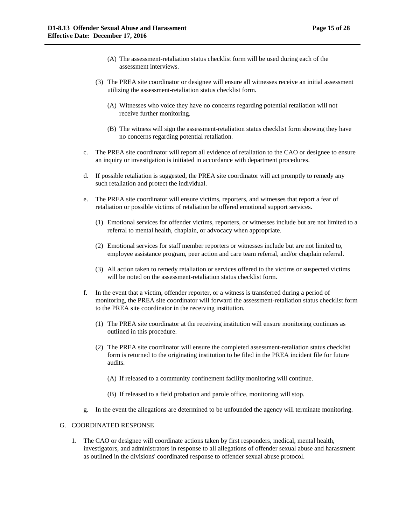- (A) The assessment-retaliation status checklist form will be used during each of the assessment interviews.
- (3) The PREA site coordinator or designee will ensure all witnesses receive an initial assessment utilizing the assessment-retaliation status checklist form.
	- (A) Witnesses who voice they have no concerns regarding potential retaliation will not receive further monitoring.
	- (B) The witness will sign the assessment-retaliation status checklist form showing they have no concerns regarding potential retaliation.
- c. The PREA site coordinator will report all evidence of retaliation to the CAO or designee to ensure an inquiry or investigation is initiated in accordance with department procedures.
- d. If possible retaliation is suggested, the PREA site coordinator will act promptly to remedy any such retaliation and protect the individual.
- e. The PREA site coordinator will ensure victims, reporters, and witnesses that report a fear of retaliation or possible victims of retaliation be offered emotional support services.
	- (1) Emotional services for offender victims, reporters, or witnesses include but are not limited to a referral to mental health, chaplain, or advocacy when appropriate.
	- (2) Emotional services for staff member reporters or witnesses include but are not limited to, employee assistance program, peer action and care team referral, and/or chaplain referral.
	- (3) All action taken to remedy retaliation or services offered to the victims or suspected victims will be noted on the assessment-retaliation status checklist form.
- f. In the event that a victim, offender reporter, or a witness is transferred during a period of monitoring, the PREA site coordinator will forward the assessment-retaliation status checklist form to the PREA site coordinator in the receiving institution.
	- (1) The PREA site coordinator at the receiving institution will ensure monitoring continues as outlined in this procedure.
	- (2) The PREA site coordinator will ensure the completed assessment-retaliation status checklist form is returned to the originating institution to be filed in the PREA incident file for future audits.
		- (A) If released to a community confinement facility monitoring will continue.
		- (B) If released to a field probation and parole office, monitoring will stop.
- g. In the event the allegations are determined to be unfounded the agency will terminate monitoring.

#### G. COORDINATED RESPONSE

1. The CAO or designee will coordinate actions taken by first responders, medical, mental health, investigators, and administrators in response to all allegations of offender sexual abuse and harassment as outlined in the divisions' coordinated response to offender sexual abuse protocol.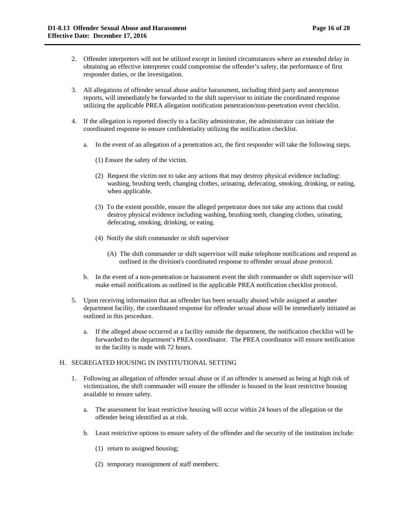- 2. Offender interpreters will not be utilized except in limited circumstances where an extended delay in obtaining an effective interpreter could compromise the offender's safety, the performance of first responder duties, or the investigation.
- 3. All allegations of offender sexual abuse and/or harassment, including third party and anonymous reports, will immediately be forwarded to the shift supervisor to initiate the coordinated response utilizing the applicable PREA allegation notification penetration/non-penetration event checklist.
- 4. If the allegation is reported directly to a facility administrator, the administrator can initiate the coordinated response to ensure confidentiality utilizing the notification checklist.
	- a. In the event of an allegation of a penetration act, the first responder will take the following steps.
		- (1) Ensure the safety of the victim.
		- (2) Request the victim not to take any actions that may destroy physical evidence including: washing, brushing teeth, changing clothes, urinating, defecating, smoking, drinking, or eating, when applicable.
		- (3) To the extent possible, ensure the alleged perpetrator does not take any actions that could destroy physical evidence including washing, brushing teeth, changing clothes, urinating, defecating, smoking, drinking, or eating.
		- (4) Notify the shift commander or shift supervisor
			- (A) The shift commander or shift supervisor will make telephone notifications and respond as outlined in the division's coordinated response to offender sexual abuse protocol.
	- b. In the event of a non-penetration or harassment event the shift commander or shift supervisor will make email notifications as outlined in the applicable PREA notification checklist protocol.
- 5. Upon receiving information that an offender has been sexually abused while assigned at another department facility, the coordinated response for offender sexual abuse will be immediately initiated as outlined in this procedure.
	- a. If the alleged abuse occurred at a facility outside the department, the notification checklist will be forwarded to the department's PREA coordinator. The PREA coordinator will ensure notification to the facility is made with 72 hours.

## H. SEGREGATED HOUSING IN INSTITUTIONAL SETTING

- 1. Following an allegation of offender sexual abuse or if an offender is assessed as being at high risk of victimization, the shift commander will ensure the offender is housed in the least restrictive housing available to ensure safety.
	- a. The assessment for least restrictive housing will occur within 24 hours of the allegation or the offender being identified as at risk.
	- b. Least restrictive options to ensure safety of the offender and the security of the institution include:
		- (1) return to assigned housing;
		- (2) temporary reassignment of staff members;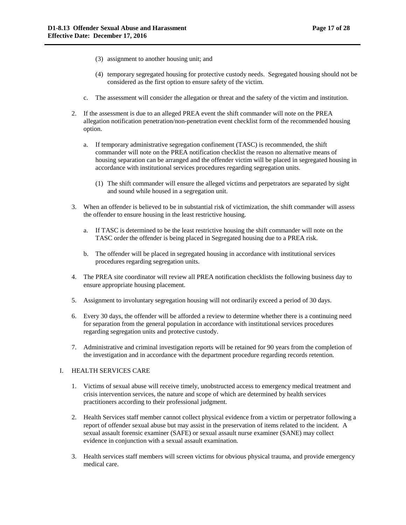- (3) assignment to another housing unit; and
- (4) temporary segregated housing for protective custody needs. Segregated housing should not be considered as the first option to ensure safety of the victim.
- c. The assessment will consider the allegation or threat and the safety of the victim and institution.
- 2. If the assessment is due to an alleged PREA event the shift commander will note on the PREA allegation notification penetration/non-penetration event checklist form of the recommended housing option.
	- a. If temporary administrative segregation confinement (TASC) is recommended, the shift commander will note on the PREA notification checklist the reason no alternative means of housing separation can be arranged and the offender victim will be placed in segregated housing in accordance with institutional services procedures regarding segregation units.
		- (1) The shift commander will ensure the alleged victims and perpetrators are separated by sight and sound while housed in a segregation unit.
- 3. When an offender is believed to be in substantial risk of victimization, the shift commander will assess the offender to ensure housing in the least restrictive housing.
	- a. If TASC is determined to be the least restrictive housing the shift commander will note on the TASC order the offender is being placed in Segregated housing due to a PREA risk.
	- b. The offender will be placed in segregated housing in accordance with institutional services procedures regarding segregation units.
- 4. The PREA site coordinator will review all PREA notification checklists the following business day to ensure appropriate housing placement.
- 5. Assignment to involuntary segregation housing will not ordinarily exceed a period of 30 days.
- 6. Every 30 days, the offender will be afforded a review to determine whether there is a continuing need for separation from the general population in accordance with institutional services procedures regarding segregation units and protective custody.
- 7. Administrative and criminal investigation reports will be retained for 90 years from the completion of the investigation and in accordance with the department procedure regarding records retention.

#### I. HEALTH SERVICES CARE

- 1. Victims of sexual abuse will receive timely, unobstructed access to emergency medical treatment and crisis intervention services, the nature and scope of which are determined by health services practitioners according to their professional judgment.
- 2. Health Services staff member cannot collect physical evidence from a victim or perpetrator following a report of offender sexual abuse but may assist in the preservation of items related to the incident. A sexual assault forensic examiner (SAFE) or sexual assault nurse examiner (SANE) may collect evidence in conjunction with a sexual assault examination.
- 3. Health services staff members will screen victims for obvious physical trauma, and provide emergency medical care.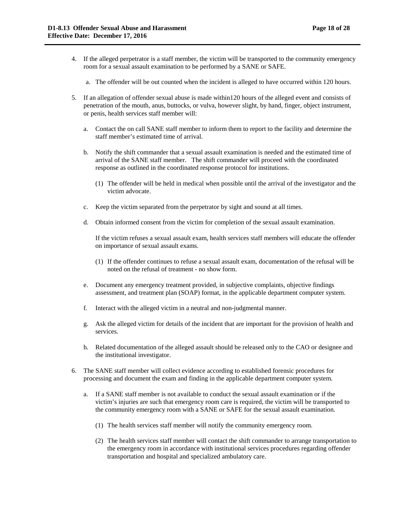- 4. If the alleged perpetrator is a staff member, the victim will be transported to the community emergency room for a sexual assault examination to be performed by a SANE or SAFE.
	- a. The offender will be out counted when the incident is alleged to have occurred within 120 hours.
- 5. If an allegation of offender sexual abuse is made within120 hours of the alleged event and consists of penetration of the mouth, anus, buttocks, or vulva, however slight, by hand, finger, object instrument, or penis, health services staff member will:
	- a. Contact the on call SANE staff member to inform them to report to the facility and determine the staff member's estimated time of arrival.
	- b. Notify the shift commander that a sexual assault examination is needed and the estimated time of arrival of the SANE staff member. The shift commander will proceed with the coordinated response as outlined in the coordinated response protocol for institutions.
		- (1) The offender will be held in medical when possible until the arrival of the investigator and the victim advocate.
	- c. Keep the victim separated from the perpetrator by sight and sound at all times.
	- d. Obtain informed consent from the victim for completion of the sexual assault examination.

If the victim refuses a sexual assault exam, health services staff members will educate the offender on importance of sexual assault exams.

- (1) If the offender continues to refuse a sexual assault exam, documentation of the refusal will be noted on the refusal of treatment - no show form.
- e. Document any emergency treatment provided, in subjective complaints, objective findings assessment, and treatment plan (SOAP) format, in the applicable department computer system.
- f. Interact with the alleged victim in a neutral and non-judgmental manner.
- g. Ask the alleged victim for details of the incident that are important for the provision of health and services.
- h. Related documentation of the alleged assault should be released only to the CAO or designee and the institutional investigator.
- 6. The SANE staff member will collect evidence according to established forensic procedures for processing and document the exam and finding in the applicable department computer system.
	- a. If a SANE staff member is not available to conduct the sexual assault examination or if the victim's injuries are such that emergency room care is required, the victim will be transported to the community emergency room with a SANE or SAFE for the sexual assault examination.
		- (1) The health services staff member will notify the community emergency room.
		- (2) The health services staff member will contact the shift commander to arrange transportation to the emergency room in accordance with institutional services procedures regarding offender transportation and hospital and specialized ambulatory care.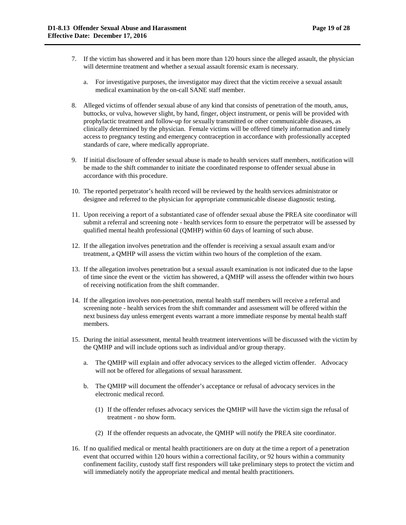- 7. If the victim has showered and it has been more than 120 hours since the alleged assault, the physician will determine treatment and whether a sexual assault forensic exam is necessary.
	- a. For investigative purposes, the investigator may direct that the victim receive a sexual assault medical examination by the on-call SANE staff member.
- 8. Alleged victims of offender sexual abuse of any kind that consists of penetration of the mouth, anus, buttocks, or vulva, however slight, by hand, finger, object instrument, or penis will be provided with prophylactic treatment and follow-up for sexually transmitted or other communicable diseases, as clinically determined by the physician. Female victims will be offered timely information and timely access to pregnancy testing and emergency contraception in accordance with professionally accepted standards of care, where medically appropriate.
- 9. If initial disclosure of offender sexual abuse is made to health services staff members, notification will be made to the shift commander to initiate the coordinated response to offender sexual abuse in accordance with this procedure.
- 10. The reported perpetrator's health record will be reviewed by the health services administrator or designee and referred to the physician for appropriate communicable disease diagnostic testing.
- 11. Upon receiving a report of a substantiated case of offender sexual abuse the PREA site coordinator will submit a referral and screening note - health services form to ensure the perpetrator will be assessed by qualified mental health professional (QMHP) within 60 days of learning of such abuse.
- 12. If the allegation involves penetration and the offender is receiving a sexual assault exam and/or treatment, a QMHP will assess the victim within two hours of the completion of the exam.
- 13. If the allegation involves penetration but a sexual assault examination is not indicated due to the lapse of time since the event or the victim has showered, a QMHP will assess the offender within two hours of receiving notification from the shift commander.
- 14. If the allegation involves non-penetration, mental health staff members will receive a referral and screening note - health services from the shift commander and assessment will be offered within the next business day unless emergent events warrant a more immediate response by mental health staff members.
- 15. During the initial assessment, mental health treatment interventions will be discussed with the victim by the QMHP and will include options such as individual and/or group therapy.
	- a. The QMHP will explain and offer advocacy services to the alleged victim offender. Advocacy will not be offered for allegations of sexual harassment.
	- b. The QMHP will document the offender's acceptance or refusal of advocacy services in the electronic medical record.
		- (1) If the offender refuses advocacy services the QMHP will have the victim sign the refusal of treatment - no show form.
		- (2) If the offender requests an advocate, the QMHP will notify the PREA site coordinator.
- 16. If no qualified medical or mental health practitioners are on duty at the time a report of a penetration event that occurred within 120 hours within a correctional facility, or 92 hours within a community confinement facility, custody staff first responders will take preliminary steps to protect the victim and will immediately notify the appropriate medical and mental health practitioners.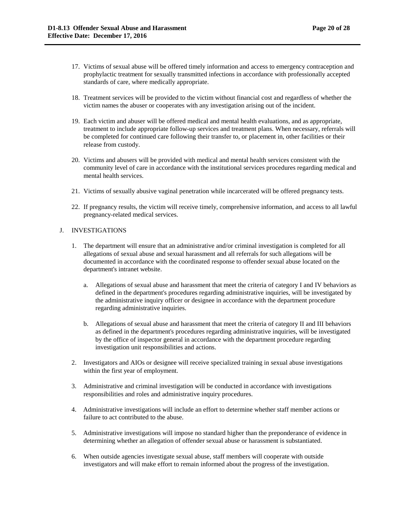- 17. Victims of sexual abuse will be offered timely information and access to emergency contraception and prophylactic treatment for sexually transmitted infections in accordance with professionally accepted standards of care, where medically appropriate.
- 18. Treatment services will be provided to the victim without financial cost and regardless of whether the victim names the abuser or cooperates with any investigation arising out of the incident.
- 19. Each victim and abuser will be offered medical and mental health evaluations, and as appropriate, treatment to include appropriate follow-up services and treatment plans. When necessary, referrals will be completed for continued care following their transfer to, or placement in, other facilities or their release from custody.
- 20. Victims and abusers will be provided with medical and mental health services consistent with the community level of care in accordance with the institutional services procedures regarding medical and mental health services.
- 21. Victims of sexually abusive vaginal penetration while incarcerated will be offered pregnancy tests.
- 22. If pregnancy results, the victim will receive timely, comprehensive information, and access to all lawful pregnancy-related medical services.

# J. INVESTIGATIONS

- 1. The department will ensure that an administrative and/or criminal investigation is completed for all allegations of sexual abuse and sexual harassment and all referrals for such allegations will be documented in accordance with the coordinated response to offender sexual abuse located on the department's intranet website.
	- a. Allegations of sexual abuse and harassment that meet the criteria of category I and IV behaviors as defined in the department's procedures regarding administrative inquiries, will be investigated by the administrative inquiry officer or designee in accordance with the department procedure regarding administrative inquiries.
	- b. Allegations of sexual abuse and harassment that meet the criteria of category II and III behaviors as defined in the department's procedures regarding administrative inquiries, will be investigated by the office of inspector general in accordance with the department procedure regarding investigation unit responsibilities and actions.
- 2. Investigators and AIOs or designee will receive specialized training in sexual abuse investigations within the first year of employment.
- 3. Administrative and criminal investigation will be conducted in accordance with investigations responsibilities and roles and administrative inquiry procedures.
- 4. Administrative investigations will include an effort to determine whether staff member actions or failure to act contributed to the abuse.
- 5. Administrative investigations will impose no standard higher than the preponderance of evidence in determining whether an allegation of offender sexual abuse or harassment is substantiated.
- 6. When outside agencies investigate sexual abuse, staff members will cooperate with outside investigators and will make effort to remain informed about the progress of the investigation.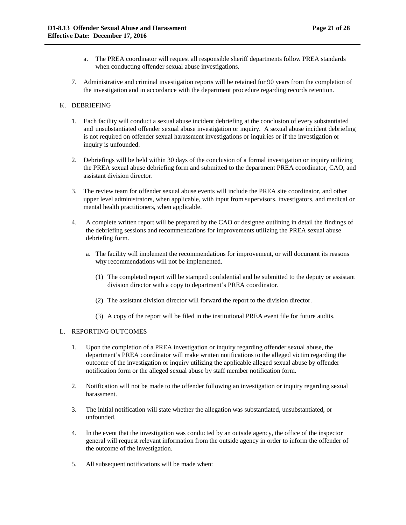- a. The PREA coordinator will request all responsible sheriff departments follow PREA standards when conducting offender sexual abuse investigations.
- 7. Administrative and criminal investigation reports will be retained for 90 years from the completion of the investigation and in accordance with the department procedure regarding records retention.

## K. DEBRIEFING

- 1. Each facility will conduct a sexual abuse incident debriefing at the conclusion of every substantiated and unsubstantiated offender sexual abuse investigation or inquiry. A sexual abuse incident debriefing is not required on offender sexual harassment investigations or inquiries or if the investigation or inquiry is unfounded.
- 2. Debriefings will be held within 30 days of the conclusion of a formal investigation or inquiry utilizing the PREA sexual abuse debriefing form and submitted to the department PREA coordinator, CAO, and assistant division director.
- 3. The review team for offender sexual abuse events will include the PREA site coordinator, and other upper level administrators, when applicable, with input from supervisors, investigators, and medical or mental health practitioners, when applicable.
- 4. A complete written report will be prepared by the CAO or designee outlining in detail the findings of the debriefing sessions and recommendations for improvements utilizing the PREA sexual abuse debriefing form.
	- a. The facility will implement the recommendations for improvement, or will document its reasons why recommendations will not be implemented.
		- (1) The completed report will be stamped confidential and be submitted to the deputy or assistant division director with a copy to department's PREA coordinator.
		- (2) The assistant division director will forward the report to the division director.
		- (3) A copy of the report will be filed in the institutional PREA event file for future audits.

# L. REPORTING OUTCOMES

- 1. Upon the completion of a PREA investigation or inquiry regarding offender sexual abuse, the department's PREA coordinator will make written notifications to the alleged victim regarding the outcome of the investigation or inquiry utilizing the applicable alleged sexual abuse by offender notification form or the alleged sexual abuse by staff member notification form.
- 2. Notification will not be made to the offender following an investigation or inquiry regarding sexual harassment.
- 3. The initial notification will state whether the allegation was substantiated, unsubstantiated, or unfounded.
- 4. In the event that the investigation was conducted by an outside agency, the office of the inspector general will request relevant information from the outside agency in order to inform the offender of the outcome of the investigation.
- 5. All subsequent notifications will be made when: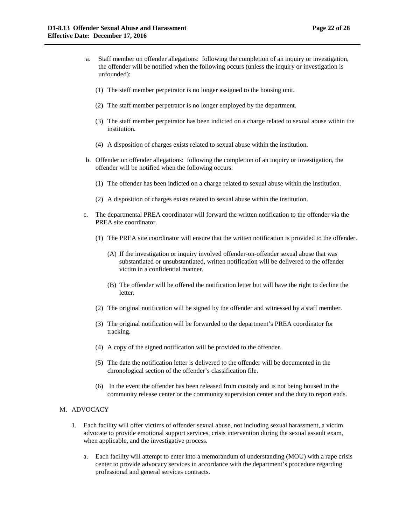- a. Staff member on offender allegations: following the completion of an inquiry or investigation, the offender will be notified when the following occurs (unless the inquiry or investigation is unfounded):
	- (1) The staff member perpetrator is no longer assigned to the housing unit.
	- (2) The staff member perpetrator is no longer employed by the department.
	- (3) The staff member perpetrator has been indicted on a charge related to sexual abuse within the institution.
	- (4) A disposition of charges exists related to sexual abuse within the institution.
- b. Offender on offender allegations: following the completion of an inquiry or investigation, the offender will be notified when the following occurs:
	- (1) The offender has been indicted on a charge related to sexual abuse within the institution.
	- (2) A disposition of charges exists related to sexual abuse within the institution.
- c. The departmental PREA coordinator will forward the written notification to the offender via the PREA site coordinator.
	- (1) The PREA site coordinator will ensure that the written notification is provided to the offender.
		- (A) If the investigation or inquiry involved offender-on-offender sexual abuse that was substantiated or unsubstantiated, written notification will be delivered to the offender victim in a confidential manner.
		- (B) The offender will be offered the notification letter but will have the right to decline the letter.
	- (2) The original notification will be signed by the offender and witnessed by a staff member.
	- (3) The original notification will be forwarded to the department's PREA coordinator for tracking.
	- (4) A copy of the signed notification will be provided to the offender.
	- (5) The date the notification letter is delivered to the offender will be documented in the chronological section of the offender's classification file.
	- (6) In the event the offender has been released from custody and is not being housed in the community release center or the community supervision center and the duty to report ends.

## M. ADVOCACY

- 1. Each facility will offer victims of offender sexual abuse, not including sexual harassment, a victim advocate to provide emotional support services, crisis intervention during the sexual assault exam, when applicable, and the investigative process.
	- a. Each facility will attempt to enter into a memorandum of understanding (MOU) with a rape crisis center to provide advocacy services in accordance with the department's procedure regarding professional and general services contracts.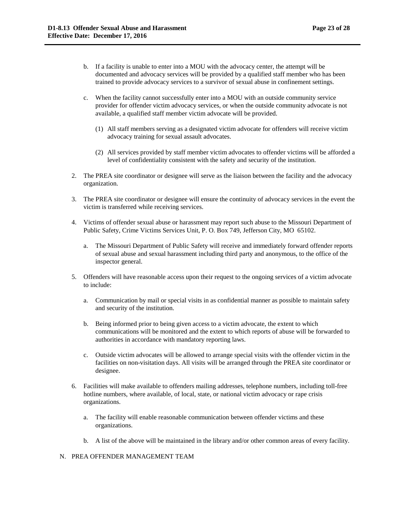- b. If a facility is unable to enter into a MOU with the advocacy center, the attempt will be documented and advocacy services will be provided by a qualified staff member who has been trained to provide advocacy services to a survivor of sexual abuse in confinement settings.
- c. When the facility cannot successfully enter into a MOU with an outside community service provider for offender victim advocacy services, or when the outside community advocate is not available, a qualified staff member victim advocate will be provided.
	- (1) All staff members serving as a designated victim advocate for offenders will receive victim advocacy training for sexual assault advocates.
	- (2) All services provided by staff member victim advocates to offender victims will be afforded a level of confidentiality consistent with the safety and security of the institution.
- 2. The PREA site coordinator or designee will serve as the liaison between the facility and the advocacy organization.
- 3. The PREA site coordinator or designee will ensure the continuity of advocacy services in the event the victim is transferred while receiving services.
- 4. Victims of offender sexual abuse or harassment may report such abuse to the Missouri Department of Public Safety, Crime Victims Services Unit, P. O. Box 749, Jefferson City, MO 65102.
	- a. The Missouri Department of Public Safety will receive and immediately forward offender reports of sexual abuse and sexual harassment including third party and anonymous, to the office of the inspector general.
- 5. Offenders will have reasonable access upon their request to the ongoing services of a victim advocate to include:
	- a. Communication by mail or special visits in as confidential manner as possible to maintain safety and security of the institution.
	- b. Being informed prior to being given access to a victim advocate, the extent to which communications will be monitored and the extent to which reports of abuse will be forwarded to authorities in accordance with mandatory reporting laws.
	- c. Outside victim advocates will be allowed to arrange special visits with the offender victim in the facilities on non-visitation days. All visits will be arranged through the PREA site coordinator or designee.
- 6. Facilities will make available to offenders mailing addresses, telephone numbers, including toll-free hotline numbers, where available, of local, state, or national victim advocacy or rape crisis organizations.
	- a. The facility will enable reasonable communication between offender victims and these organizations.
	- b. A list of the above will be maintained in the library and/or other common areas of every facility.

# N. PREA OFFENDER MANAGEMENT TEAM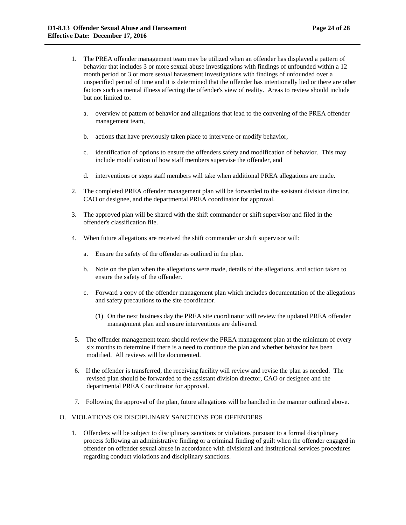- 1. The PREA offender management team may be utilized when an offender has displayed a pattern of behavior that includes 3 or more sexual abuse investigations with findings of unfounded within a 12 month period or 3 or more sexual harassment investigations with findings of unfounded over a unspecified period of time and it is determined that the offender has intentionally lied or there are other factors such as mental illness affecting the offender's view of reality. Areas to review should include but not limited to:
	- a. overview of pattern of behavior and allegations that lead to the convening of the PREA offender management team,
	- b. actions that have previously taken place to intervene or modify behavior,
	- c. identification of options to ensure the offenders safety and modification of behavior. This may include modification of how staff members supervise the offender, and
	- d. interventions or steps staff members will take when additional PREA allegations are made.
- 2. The completed PREA offender management plan will be forwarded to the assistant division director, CAO or designee, and the departmental PREA coordinator for approval.
- 3. The approved plan will be shared with the shift commander or shift supervisor and filed in the offender's classification file.
- 4. When future allegations are received the shift commander or shift supervisor will:
	- a. Ensure the safety of the offender as outlined in the plan.
	- b. Note on the plan when the allegations were made, details of the allegations, and action taken to ensure the safety of the offender.
	- c. Forward a copy of the offender management plan which includes documentation of the allegations and safety precautions to the site coordinator.
		- (1) On the next business day the PREA site coordinator will review the updated PREA offender management plan and ensure interventions are delivered.
- 5. The offender management team should review the PREA management plan at the minimum of every six months to determine if there is a need to continue the plan and whether behavior has been modified. All reviews will be documented.
- 6. If the offender is transferred, the receiving facility will review and revise the plan as needed. The revised plan should be forwarded to the assistant division director, CAO or designee and the departmental PREA Coordinator for approval.
- 7. Following the approval of the plan, future allegations will be handled in the manner outlined above.

# O. VIOLATIONS OR DISCIPLINARY SANCTIONS FOR OFFENDERS

1. Offenders will be subject to disciplinary sanctions or violations pursuant to a formal disciplinary process following an administrative finding or a criminal finding of guilt when the offender engaged in offender on offender sexual abuse in accordance with divisional and institutional services procedures regarding conduct violations and disciplinary sanctions.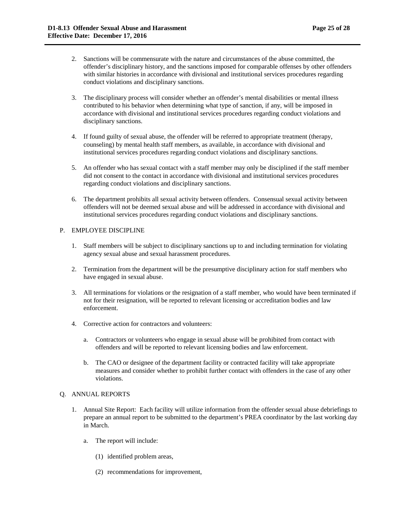- 2. Sanctions will be commensurate with the nature and circumstances of the abuse committed, the offender's disciplinary history, and the sanctions imposed for comparable offenses by other offenders with similar histories in accordance with divisional and institutional services procedures regarding conduct violations and disciplinary sanctions.
- 3. The disciplinary process will consider whether an offender's mental disabilities or mental illness contributed to his behavior when determining what type of sanction, if any, will be imposed in accordance with divisional and institutional services procedures regarding conduct violations and disciplinary sanctions.
- 4. If found guilty of sexual abuse, the offender will be referred to appropriate treatment (therapy, counseling) by mental health staff members, as available, in accordance with divisional and institutional services procedures regarding conduct violations and disciplinary sanctions.
- 5. An offender who has sexual contact with a staff member may only be disciplined if the staff member did not consent to the contact in accordance with divisional and institutional services procedures regarding conduct violations and disciplinary sanctions.
- 6. The department prohibits all sexual activity between offenders. Consensual sexual activity between offenders will not be deemed sexual abuse and will be addressed in accordance with divisional and institutional services procedures regarding conduct violations and disciplinary sanctions.

# P. EMPLOYEE DISCIPLINE

- 1. Staff members will be subject to disciplinary sanctions up to and including termination for violating agency sexual abuse and sexual harassment procedures.
- 2. Termination from the department will be the presumptive disciplinary action for staff members who have engaged in sexual abuse.
- 3. All terminations for violations or the resignation of a staff member, who would have been terminated if not for their resignation, will be reported to relevant licensing or accreditation bodies and law enforcement.
- 4. Corrective action for contractors and volunteers:
	- a. Contractors or volunteers who engage in sexual abuse will be prohibited from contact with offenders and will be reported to relevant licensing bodies and law enforcement.
	- b. The CAO or designee of the department facility or contracted facility will take appropriate measures and consider whether to prohibit further contact with offenders in the case of any other violations.

# Q. ANNUAL REPORTS

- 1. Annual Site Report: Each facility will utilize information from the offender sexual abuse debriefings to prepare an annual report to be submitted to the department's PREA coordinator by the last working day in March.
	- a. The report will include:
		- (1) identified problem areas,
		- (2) recommendations for improvement,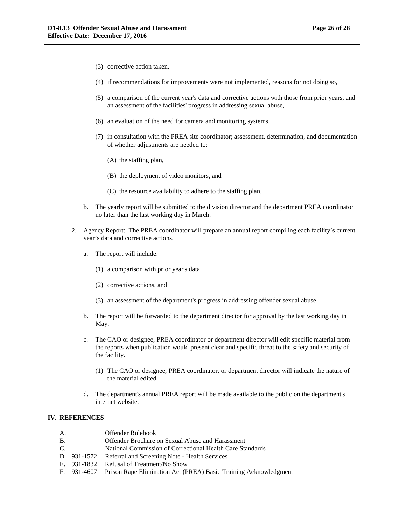- (3) corrective action taken,
- (4) if recommendations for improvements were not implemented, reasons for not doing so,
- (5) a comparison of the current year's data and corrective actions with those from prior years, and an assessment of the facilities' progress in addressing sexual abuse,
- (6) an evaluation of the need for camera and monitoring systems,
- (7) in consultation with the PREA site coordinator; assessment, determination, and documentation of whether adjustments are needed to:
	- (A) the staffing plan,
	- (B) the deployment of video monitors, and
	- (C) the resource availability to adhere to the staffing plan.
- b. The yearly report will be submitted to the division director and the department PREA coordinator no later than the last working day in March.
- 2. Agency Report: The PREA coordinator will prepare an annual report compiling each facility's current year's data and corrective actions.
	- a. The report will include:
		- (1) a comparison with prior year's data,
		- (2) corrective actions, and
		- (3) an assessment of the department's progress in addressing offender sexual abuse.
	- b. The report will be forwarded to the department director for approval by the last working day in May.
	- c. The CAO or designee, PREA coordinator or department director will edit specific material from the reports when publication would present clear and specific threat to the safety and security of the facility.
		- (1) The CAO or designee, PREA coordinator, or department director will indicate the nature of the material edited.
	- d. The department's annual PREA report will be made available to the public on the department's internet website.

## **IV. REFERENCES**

- B. Offender Brochure on Sexual Abuse and Harassment
- C. National Commission of Correctional Health Care Standards
- D. 931-1572 Referral and Screening Note Health Services
- E. 931-1832 Refusal of Treatment/No Show
- F. 931-4607 Prison Rape Elimination Act (PREA) Basic Training Acknowledgment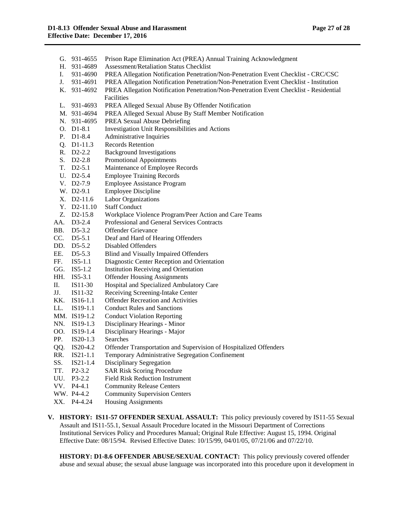| G.  | 931-4655                 | Prison Rape Elimination Act (PREA) Annual Training Acknowledgment                      |
|-----|--------------------------|----------------------------------------------------------------------------------------|
| Н.  | 931-4689                 | <b>Assessment/Retaliation Status Checklist</b>                                         |
| I.  | 931-4690                 | PREA Allegation Notification Penetration/Non-Penetration Event Checklist - CRC/CSC     |
| J.  | 931-4691                 | PREA Allegation Notification Penetration/Non-Penetration Event Checklist - Institution |
|     | K. 931-4692              | PREA Allegation Notification Penetration/Non-Penetration Event Checklist - Residential |
|     |                          | Facilities                                                                             |
| L.  | 931-4693                 | PREA Alleged Sexual Abuse By Offender Notification                                     |
|     | M. 931-4694              | PREA Alleged Sexual Abuse By Staff Member Notification                                 |
|     | N. 931-4695              | PREA Sexual Abuse Debriefing                                                           |
|     | O. D1-8.1                | Investigation Unit Responsibilities and Actions                                        |
|     | P. D1-8.4                | Administrative Inquiries                                                               |
|     | Q. D1-11.3               | <b>Records Retention</b>                                                               |
|     | R. D2-2.2                | <b>Background Investigations</b>                                                       |
| S.  | $D2-2.8$                 | <b>Promotional Appointments</b>                                                        |
|     | T. D2-5.1                | Maintenance of Employee Records                                                        |
|     | U. D2-5.4                | <b>Employee Training Records</b>                                                       |
|     | $V.$ D <sub>2</sub> -7.9 | <b>Employee Assistance Program</b>                                                     |
|     | W. D2-9.1                | <b>Employee Discipline</b>                                                             |
|     | X. D2-11.6               | Labor Organizations                                                                    |
|     | Y. D2-11.10              | <b>Staff Conduct</b>                                                                   |
|     | Z. D2-15.8               | Workplace Violence Program/Peer Action and Care Teams                                  |
| AA. | $D3-2.4$                 | Professional and General Services Contracts                                            |
| BB. | $D5-3.2$                 | <b>Offender Grievance</b>                                                              |
| CC. | $D5-5.1$                 | Deaf and Hard of Hearing Offenders                                                     |
| DD. | $D5-5.2$                 | <b>Disabled Offenders</b>                                                              |
| EE. | $D5-5.3$                 | Blind and Visually Impaired Offenders                                                  |
| FF. | $IS5-1.1$                | Diagnostic Center Reception and Orientation                                            |
| GG. | $IS5-1.2$                | Institution Receiving and Orientation                                                  |
| HH. | $IS5-3.1$                | <b>Offender Housing Assignments</b>                                                    |
| П.  | IS11-30                  | Hospital and Specialized Ambulatory Care                                               |
| JJ. | IS11-32                  | Receiving Screening-Intake Center                                                      |
| KK. | IS16-1.1                 | <b>Offender Recreation and Activities</b>                                              |
| LL. | $IS19-1.1$               | <b>Conduct Rules and Sanctions</b>                                                     |
|     | MM. IS19-1.2             | <b>Conduct Violation Reporting</b>                                                     |
| NN. | $IS19-1.3$               | Disciplinary Hearings - Minor                                                          |
| OO. | $IS19-1.4$               | Disciplinary Hearings - Major                                                          |
| PP. | $IS20-1.3$               | Searches                                                                               |
| QQ. | IS20-4.2                 | Offender Transportation and Supervision of Hospitalized Offenders                      |
| RR. | IS21-1.1                 | Temporary Administrative Segregation Confinement                                       |
| SS. | $IS21-1.4$               | Disciplinary Segregation                                                               |
| TT. | $P2 - 3.2$               | <b>SAR Risk Scoring Procedure</b>                                                      |
| UU. | $P3-2.2$                 | <b>Field Risk Reduction Instrument</b>                                                 |
| VV. | $P4-4.1$                 | <b>Community Release Centers</b>                                                       |
|     | WW. P4-4.2               | <b>Community Supervision Centers</b>                                                   |
| XX. | P4-4.24                  | <b>Housing Assignments</b>                                                             |
|     |                          |                                                                                        |

**V. HISTORY: IS11-57 OFFENDER SEXUAL ASSAULT:** This policy previously covered by IS11-55 Sexual Assault and IS11-55.1, Sexual Assault Procedure located in the Missouri Department of Corrections Institutional Services Policy and Procedures Manual; Original Rule Effective: August 15, 1994. Original Effective Date: 08/15/94. Revised Effective Dates: 10/15/99, 04/01/05, 07/21/06 and 07/22/10.

**HISTORY: D1-8.6 OFFENDER ABUSE/SEXUAL CONTACT:** This policy previously covered offender abuse and sexual abuse; the sexual abuse language was incorporated into this procedure upon it development in